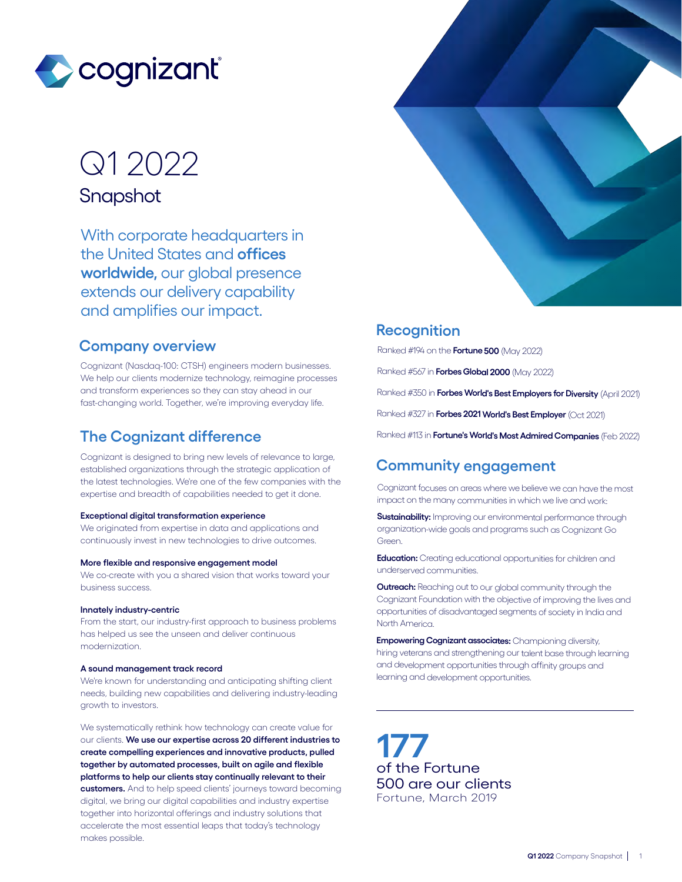

# Q1 2022

**Snapshot** 

With corporate headquarters in the United States and **offices worldwide,** our global presence extends our delivery capability and amplifies our impact.

#### **Company overview**

Cognizant (Nasdaq-100: CTSH) engineers modern businesses. We help our clients modernize technology, reimagine processes and transform experiences so they can stay ahead in our fast-changing world. Together, we're improving everyday life.

### **The Cognizant difference**

Cognizant is designed to bring new levels of relevance to large, established organizations through the strategic application of the latest technologies. We're one of the few companies with the expertise and breadth of capabilities needed to get it done.

#### **Exceptional digital transformation experience**

We originated from expertise in data and applications and continuously invest in new technologies to drive outcomes.

#### **More flexible and responsive engagement model**

We co-create with you a shared vision that works toward your business success.

#### **Innately industry-centric**

From the start, our industry-first approach to business problems has helped us see the unseen and deliver continuous modernization.

#### **A sound management track record**

We're known for understanding and anticipating shifting client needs, building new capabilities and delivering industry-leading growth to investors.

We systematically rethink how technology can create value for our clients. **We use our expertise across 20 different industries to create compelling experiences and innovative products, pulled together by automated processes, built on agile and flexible platforms to help our clients stay continually relevant to their customers.** And to help speed clients' journeys toward becoming digital, we bring our digital capabilities and industry expertise together into horizontal offerings and industry solutions that accelerate the most essential leaps that today's technology makes possible.



### **Recognition**

Ranked #194 on the **Fortune 500** (May 2022)

Ranked #567 in **Forbes Global 2000** (May 2022)

Ranked #350 in **Forbes World's Best Employers for Diversity** (April 2021)

Ranked #327 in **Forbes 2021 World's Best Employer** (Oct 2021)

Ranked #113 in **Fortune's World's Most Admired Companies** (Feb 2022)

## **Community engagement**

Cognizant focuses on areas where we believe we can have the most impact on the many communities in which we live and work:

**Sustainability:** Improving our environmental performance through organization-wide goals and programs such as Cognizant Go Green.

**Education:** Creating educational opportunities for children and underserved communities.

**Outreach:** Reaching out to our global community through the Cognizant Foundation with the objective of improving the lives and opportunities of disadvantaged segments of society in India and North America.

**Empowering Cognizant associates:** Championing diversity, hiring veterans and strengthening our talent base through learning and development opportunities through affinity groups and learning and development opportunities.

**177** of the Fortune 500 are our clients Fortune, March 2019